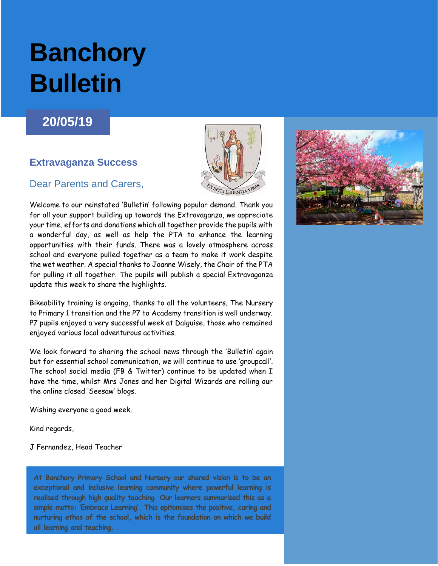# **Banchory Bulletin**

### **20/05/19**

### **Extravaganza Success**

### Dear Parents and Carers,



Welcome to our reinstated 'Bulletin' following popular demand. Thank you for all your support building up towards the Extravaganza, we appreciate your time, efforts and donations which all together provide the pupils with a wonderful day, as well as help the PTA to enhance the learning opportunities with their funds. There was a lovely atmosphere across school and everyone pulled together as a team to make it work despite the wet weather. A special thanks to Joanne Wisely, the Chair of the PTA for pulling it all together. The pupils will publish a special Extravaganza update this week to share the highlights.

Bikeability training is ongoing, thanks to all the volunteers. The Nursery to Primary 1 transition and the P7 to Academy transition is well underway. P7 pupils enjoyed a very successful week at Dalguise, those who remained enjoyed various local adventurous activities.

We look forward to sharing the school news through the 'Bulletin' again but for essential school communication, we will continue to use 'groupcall'. The school social media (FB & Twitter) continue to be updated when I have the time, whilst Mrs Jones and her Digital Wizards are rolling our the online closed 'Seesaw' blogs.

Wishing everyone a good week.

Kind regards,

J Fernandez, Head Teacher

**At Banchory Primary School and Nursery our shared vision is to be an exceptional and inclusive learning community where powerful learning is realised through high quality teaching. Our learners summarised this as a simple motto: 'Embrace Learning'. This epitomises the positive, caring and nurturing ethos of the school, which is the foundation on which we build all learning and teaching.**

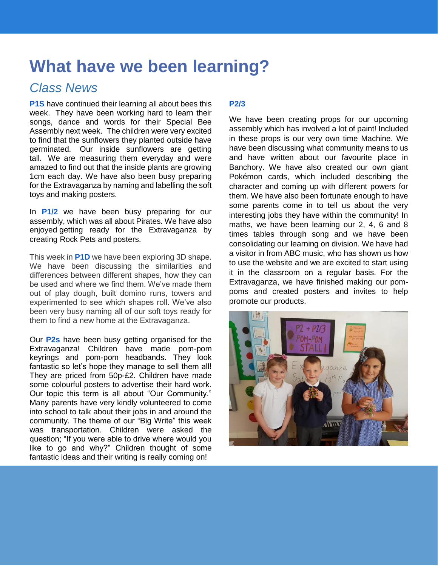# **What have we been learning?**

## *Class News*

**P1S** have continued their learning all about bees this week. They have been working hard to learn their songs, dance and words for their Special Bee Assembly next week. The children were very excited to find that the sunflowers they planted outside have germinated. Our inside sunflowers are getting tall. We are measuring them everyday and were amazed to find out that the inside plants are growing 1cm each day. We have also been busy preparing for the Extravaganza by naming and labelling the soft toys and making posters.

In **P1/2** we have been busy preparing for our assembly, which was all about Pirates. We have also enjoyed getting ready for the Extravaganza by creating Rock Pets and posters.

This week in **P1D** we have been exploring 3D shape. We have been discussing the similarities and differences between different shapes, how they can be used and where we find them. We've made them out of play dough, built domino runs, towers and experimented to see which shapes roll. We've also been very busy naming all of our soft toys ready for them to find a new home at the Extravaganza.

Our **P2s** have been busy getting organised for the Extravaganza! Children have made pom-pom keyrings and pom-pom headbands. They look fantastic so let's hope they manage to sell them all! They are priced from 50p-£2. Children have made some colourful posters to advertise their hard work. Our topic this term is all about "Our Community." Many parents have very kindly volunteered to come into school to talk about their jobs in and around the community. The theme of our "Big Write" this week was transportation. Children were asked the question; "If you were able to drive where would you like to go and why?" Children thought of some fantastic ideas and their writing is really coming on!

### **P2/3**

We have been creating props for our upcoming assembly which has involved a lot of paint! Included in these props is our very own time Machine. We have been discussing what community means to us and have written about our favourite place in Banchory. We have also created our own giant Pokémon cards, which included describing the character and coming up with different powers for them. We have also been fortunate enough to have some parents come in to tell us about the very interesting jobs they have within the community! In maths, we have been learning our 2, 4, 6 and 8 times tables through song and we have been consolidating our learning on division. We have had a visitor in from ABC music, who has shown us how to use the website and we are excited to start using it in the classroom on a regular basis. For the Extravaganza, we have finished making our pompoms and created posters and invites to help promote our products.

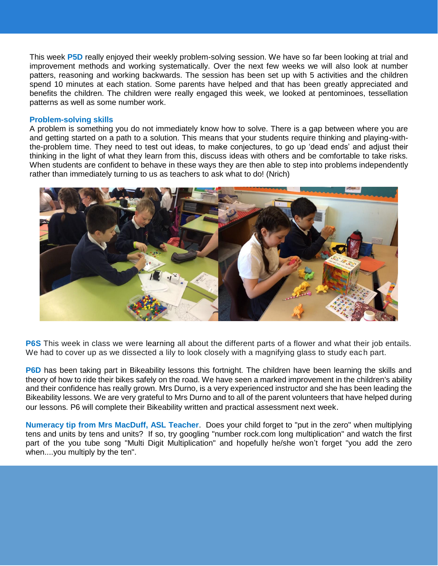This week **P5D** really enjoyed their weekly problem-solving session. We have so far been looking at trial and improvement methods and working systematically. Over the next few weeks we will also look at number patters, reasoning and working backwards. The session has been set up with 5 activities and the children spend 10 minutes at each station. Some parents have helped and that has been greatly appreciated and benefits the children. The children were really engaged this week, we looked at pentominoes, tessellation patterns as well as some number work.

#### **Problem-solving skills**

A problem is something you do not immediately know how to solve. There is a gap between where you are and getting started on a path to a solution. This means that your students require thinking and playing-withthe-problem time. They need to test out ideas, to make conjectures, to go up 'dead ends' and adjust their thinking in the light of what they learn from this, discuss ideas with others and be comfortable to take risks. When students are confident to behave in these ways they are then able to step into problems independently rather than immediately turning to us as teachers to ask what to do! (Nrich)



**P6S** This week in class we were [learning](https://twitter.com/hashtag/learning?src=hash) all about the different parts of a flower and what their job entails. We had to cover up as we dissected a lily to look closely with a magnifying glass to study each part.

**P6D** has been taking part in Bikeability lessons this fortnight. The children have been learning the skills and theory of how to ride their bikes safely on the road. We have seen a marked improvement in the children's ability and their confidence has really grown. Mrs Durno, is a very experienced instructor and she has been leading the Bikeability lessons. We are very grateful to Mrs Durno and to all of the parent volunteers that have helped during our lessons. P6 will complete their Bikeability written and practical assessment next week.

**Numeracy tip from Mrs MacDuff, ASL Teacher**. Does your child forget to "put in the zero" when multiplying tens and units by tens and units? If so, try googling "number rock.com long multiplication" and watch the first part of the you tube song "Multi Digit Multiplication" and hopefully he/she won't forget "you add the zero when....you multiply by the ten".